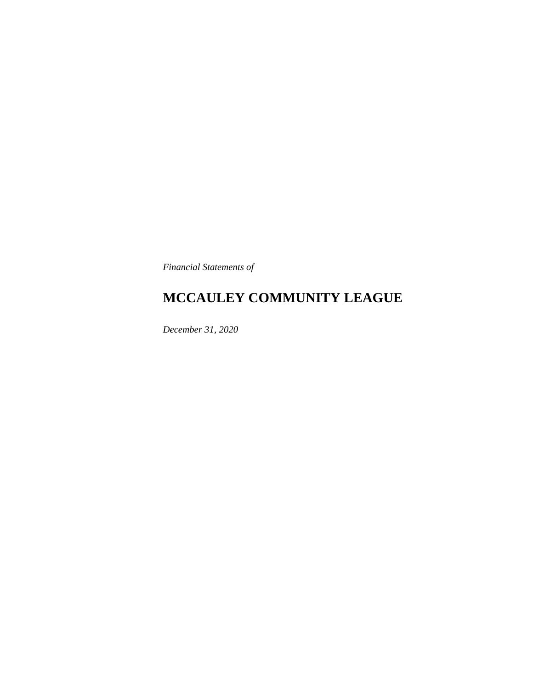*Financial Statements of*

## **MCCAULEY COMMUNITY LEAGUE**

*December 31, 2020*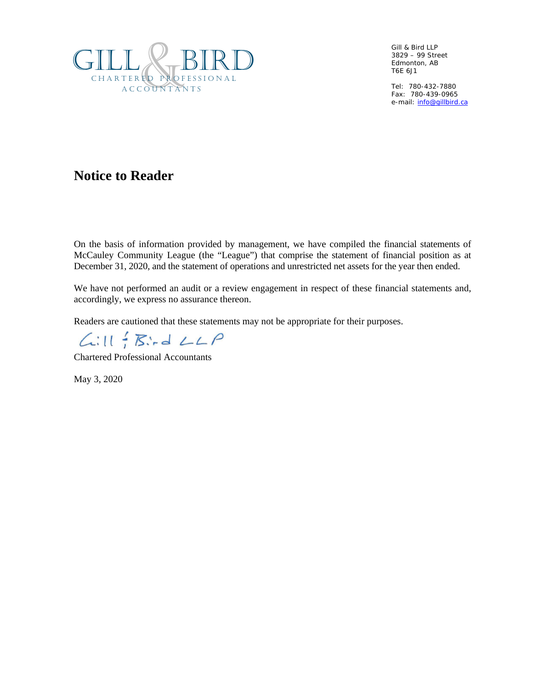

Gill & Bird LLP 3829 – 99 Street Edmonton, AB T6E 6J1

Tel: 780-432-7880 Fax: 780-439-0965 e-mail[: info@gillbird.ca](mailto:info@gillbird.ca)

### **Notice to Reader**

On the basis of information provided by management, we have compiled the financial statements of McCauley Community League (the "League") that comprise the statement of financial position as at December 31, 2020, and the statement of operations and unrestricted net assets for the year then ended.

We have not performed an audit or a review engagement in respect of these financial statements and, accordingly, we express no assurance thereon.

Readers are cautioned that these statements may not be appropriate for their purposes.

 $L:II \nmid \mathcal{B} \nmid LLP$ 

Chartered Professional Accountants

May 3, 2020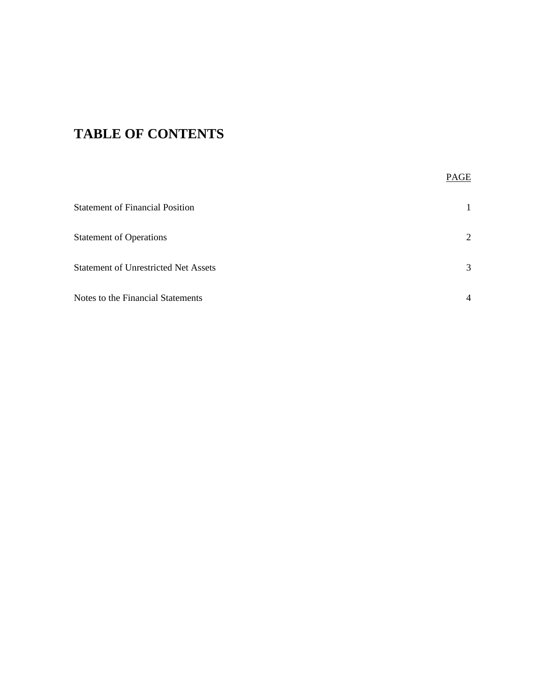# **TABLE OF CONTENTS**

|                                             | PAGE           |
|---------------------------------------------|----------------|
| <b>Statement of Financial Position</b>      | 1              |
| <b>Statement of Operations</b>              | 2              |
| <b>Statement of Unrestricted Net Assets</b> | 3              |
| Notes to the Financial Statements           | $\overline{4}$ |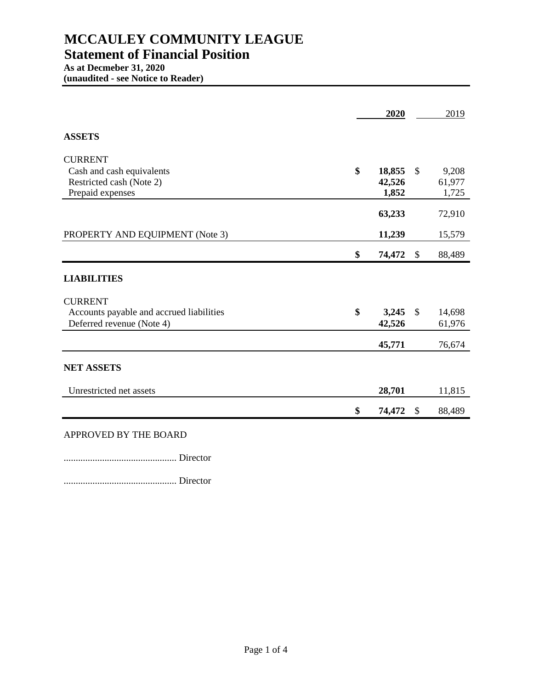### **As at Decmeber 31, 2020**

**(unaudited - see Notice to Reader)**

|                                          | 2020         |               | 2019   |
|------------------------------------------|--------------|---------------|--------|
| <b>ASSETS</b>                            |              |               |        |
| <b>CURRENT</b>                           |              |               |        |
| Cash and cash equivalents                | \$<br>18,855 | $\mathbb{S}$  | 9,208  |
| Restricted cash (Note 2)                 | 42,526       |               | 61,977 |
| Prepaid expenses                         | 1,852        |               | 1,725  |
|                                          | 63,233       |               | 72,910 |
| PROPERTY AND EQUIPMENT (Note 3)          | 11,239       |               | 15,579 |
|                                          | \$<br>74,472 | \$            | 88,489 |
| <b>LIABILITIES</b>                       |              |               |        |
| <b>CURRENT</b>                           |              |               |        |
| Accounts payable and accrued liabilities | \$<br>3,245  | $\mathcal{S}$ | 14,698 |
| Deferred revenue (Note 4)                | 42,526       |               | 61,976 |
|                                          | 45,771       |               | 76,674 |
| <b>NET ASSETS</b>                        |              |               |        |
| Unrestricted net assets                  | 28,701       |               | 11,815 |
|                                          | \$<br>74,472 | \$            | 88,489 |
| APPROVED BY THE BOARD                    |              |               |        |

............................................... Director

............................................... Director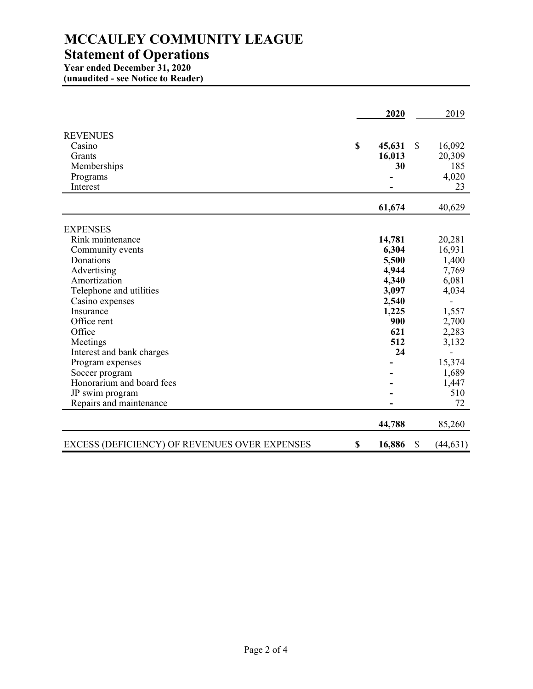### **MCCAULEY COMMUNITY LEAGUE Statement of Operations**

## **Year ended December 31, 2020**

**(unaudited - see Notice to Reader)**

|                                               | 2020         |               | 2019      |
|-----------------------------------------------|--------------|---------------|-----------|
| <b>REVENUES</b>                               |              |               |           |
| Casino                                        | \$<br>45,631 | <sup>\$</sup> | 16,092    |
| Grants                                        | 16,013       |               | 20,309    |
| Memberships                                   | 30           |               | 185       |
| Programs                                      |              |               | 4,020     |
| Interest                                      |              |               | 23        |
|                                               |              |               |           |
|                                               | 61,674       |               | 40,629    |
|                                               |              |               |           |
| <b>EXPENSES</b><br>Rink maintenance           | 14,781       |               | 20,281    |
|                                               |              |               |           |
| Community events<br>Donations                 | 6,304        |               | 16,931    |
|                                               | 5,500        |               | 1,400     |
| Advertising<br>Amortization                   | 4,944        |               | 7,769     |
|                                               | 4,340        |               | 6,081     |
| Telephone and utilities                       | 3,097        |               | 4,034     |
| Casino expenses                               | 2,540        |               |           |
| Insurance                                     | 1,225        |               | 1,557     |
| Office rent                                   | 900          |               | 2,700     |
| Office                                        | 621          |               | 2,283     |
| Meetings                                      | 512          |               | 3,132     |
| Interest and bank charges                     | 24           |               |           |
| Program expenses                              |              |               | 15,374    |
| Soccer program                                |              |               | 1,689     |
| Honorarium and board fees                     |              |               | 1,447     |
| JP swim program                               |              |               | 510       |
| Repairs and maintenance                       |              |               | 72        |
|                                               | 44,788       |               | 85,260    |
| EXCESS (DEFICIENCY) OF REVENUES OVER EXPENSES | \$<br>16,886 | \$            | (44, 631) |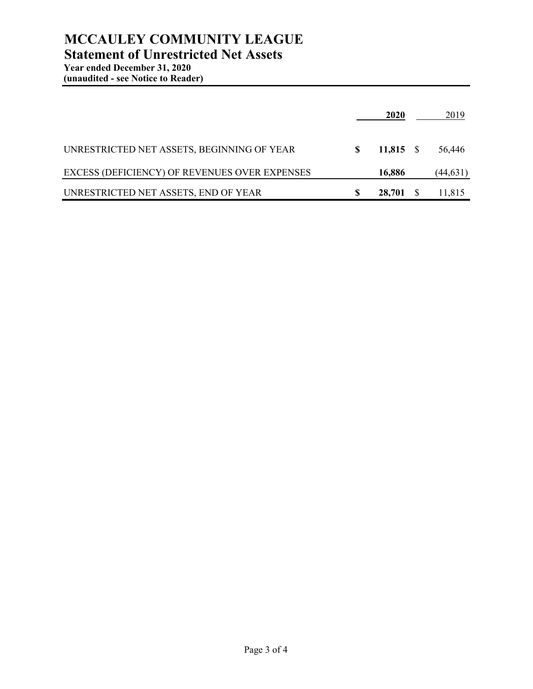### **MCCAULEY COMMUNITY LEAGUE Statement of Unrestricted Net Assets**

|                                               | <b>2020</b> |              | 2019      |
|-----------------------------------------------|-------------|--------------|-----------|
| UNRESTRICTED NET ASSETS, BEGINNING OF YEAR    | $11,815$ \$ |              | 56,446    |
| EXCESS (DEFICIENCY) OF REVENUES OVER EXPENSES | 16,886      |              | (44, 631) |
| UNRESTRICTED NET ASSETS, END OF YEAR          | 28,701      | <sup>S</sup> | 11,815    |